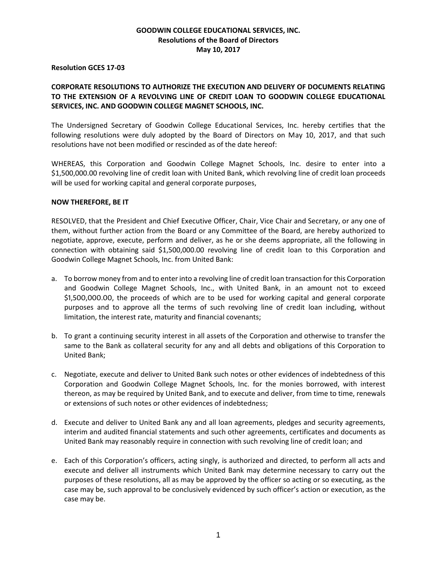## **GOODWIN COLLEGE EDUCATIONAL SERVICES, INC. Resolutions of the Board of Directors May 10, 2017**

## **Resolution GCES 17-03**

## **CORPORATE RESOLUTIONS TO AUTHORIZE THE EXECUTION AND DELIVERY OF DOCUMENTS RELATING TO THE EXTENSION OF A REVOLVING LINE OF CREDIT LOAN TO GOODWIN COLLEGE EDUCATIONAL SERVICES, INC. AND GOODWIN COLLEGE MAGNET SCHOOLS, INC.**

The Undersigned Secretary of Goodwin College Educational Services, Inc. hereby certifies that the following resolutions were duly adopted by the Board of Directors on May 10, 2017, and that such resolutions have not been modified or rescinded as of the date hereof:

WHEREAS, this Corporation and Goodwin College Magnet Schools, Inc. desire to enter into a \$1,500,000.00 revolving line of credit loan with United Bank, which revolving line of credit loan proceeds will be used for working capital and general corporate purposes,

## **NOW THEREFORE, BE IT**

RESOLVED, that the President and Chief Executive Officer, Chair, Vice Chair and Secretary, or any one of them, without further action from the Board or any Committee of the Board, are hereby authorized to negotiate, approve, execute, perform and deliver, as he or she deems appropriate, all the following in connection with obtaining said \$1,500,000.00 revolving line of credit loan to this Corporation and Goodwin College Magnet Schools, Inc. from United Bank:

- a. To borrow money from and to enter into a revolving line of credit loan transaction for this Corporation and Goodwin College Magnet Schools, Inc., with United Bank, in an amount not to exceed \$1,500,000.00, the proceeds of which are to be used for working capital and general corporate purposes and to approve all the terms of such revolving line of credit loan including, without limitation, the interest rate, maturity and financial covenants;
- b. To grant a continuing security interest in all assets of the Corporation and otherwise to transfer the same to the Bank as collateral security for any and all debts and obligations of this Corporation to United Bank;
- c. Negotiate, execute and deliver to United Bank such notes or other evidences of indebtedness of this Corporation and Goodwin College Magnet Schools, Inc. for the monies borrowed, with interest thereon, as may be required by United Bank, and to execute and deliver, from time to time, renewals or extensions of such notes or other evidences of indebtedness;
- d. Execute and deliver to United Bank any and all loan agreements, pledges and security agreements, interim and audited financial statements and such other agreements, certificates and documents as United Bank may reasonably require in connection with such revolving line of credit loan; and
- e. Each of this Corporation's officers, acting singly, is authorized and directed, to perform all acts and execute and deliver all instruments which United Bank may determine necessary to carry out the purposes of these resolutions, all as may be approved by the officer so acting or so executing, as the case may be, such approval to be conclusively evidenced by such officer's action or execution, as the case may be.